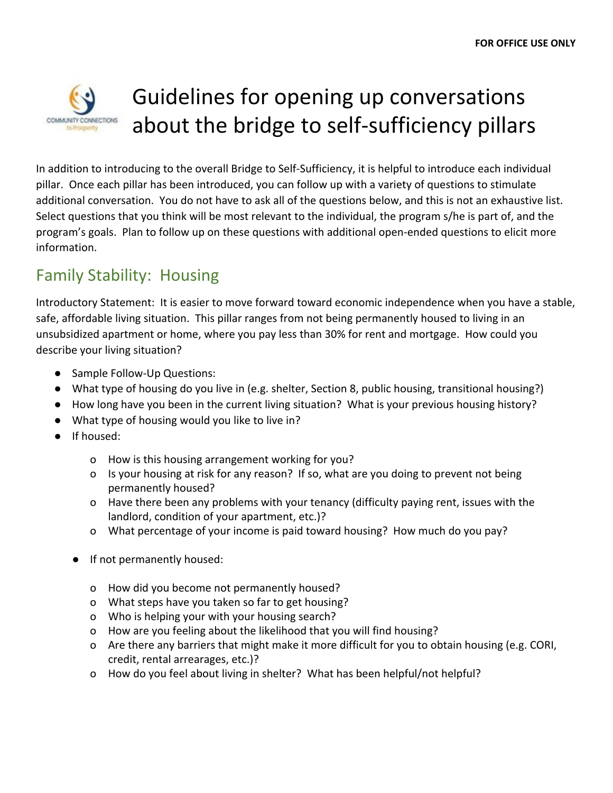

# Guidelines for opening up conversations about the bridge to self-sufficiency pillars

In addition to introducing to the overall Bridge to Self-Sufficiency, it is helpful to introduce each individual pillar. Once each pillar has been introduced, you can follow up with a variety of questions to stimulate additional conversation. You do not have to ask all of the questions below, and this is not an exhaustive list. Select questions that you think will be most relevant to the individual, the program s/he is part of, and the program's goals. Plan to follow up on these questions with additional open-ended questions to elicit more information.

### Family Stability: Housing

Introductory Statement: It is easier to move forward toward economic independence when you have a stable, safe, affordable living situation. This pillar ranges from not being permanently housed to living in an unsubsidized apartment or home, where you pay less than 30% for rent and mortgage. How could you describe your living situation?

- Sample Follow-Up Questions:
- What type of housing do you live in (e.g. shelter, Section 8, public housing, transitional housing?)
- How long have you been in the current living situation? What is your previous housing history?
- What type of housing would you like to live in?
- If housed:
	- o How is this housing arrangement working for you?
	- o Is your housing at risk for any reason? If so, what are you doing to prevent not being permanently housed?
	- o Have there been any problems with your tenancy (difficulty paying rent, issues with the landlord, condition of your apartment, etc.)?
	- o What percentage of your income is paid toward housing? How much do you pay?
	- If not permanently housed:
		- o How did you become not permanently housed?
		- o What steps have you taken so far to get housing?
		- o Who is helping your with your housing search?
		- o How are you feeling about the likelihood that you will find housing?
		- o Are there any barriers that might make it more difficult for you to obtain housing (e.g. CORI, credit, rental arrearages, etc.)?
		- o How do you feel about living in shelter? What has been helpful/not helpful?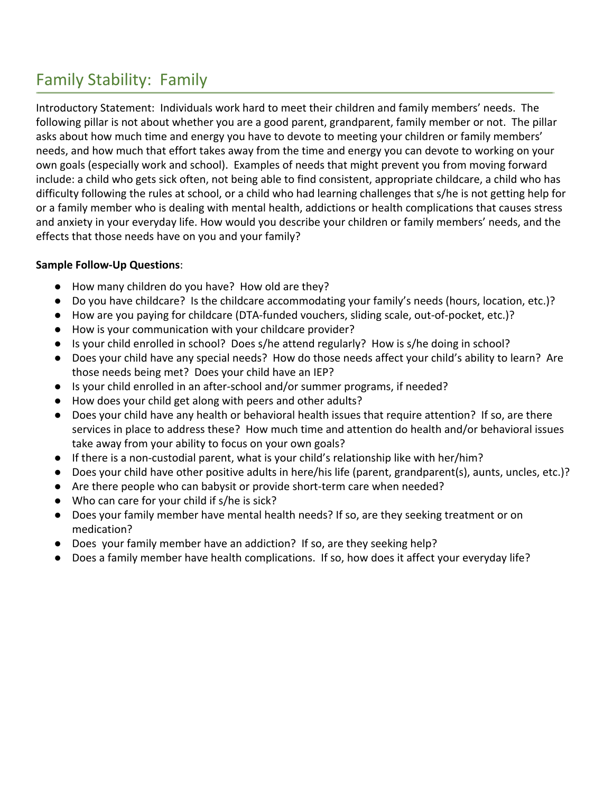# Family Stability: Family

Introductory Statement: Individuals work hard to meet their children and family members' needs. The following pillar is not about whether you are a good parent, grandparent, family member or not. The pillar asks about how much time and energy you have to devote to meeting your children or family members' needs, and how much that effort takes away from the time and energy you can devote to working on your own goals (especially work and school). Examples of needs that might prevent you from moving forward include: a child who gets sick often, not being able to find consistent, appropriate childcare, a child who has difficulty following the rules at school, or a child who had learning challenges that s/he is not getting help for or a family member who is dealing with mental health, addictions or health complications that causes stress and anxiety in your everyday life. How would you describe your children or family members' needs, and the effects that those needs have on you and your family?

- How many children do you have? How old are they?
- Do you have childcare? Is the childcare accommodating your family's needs (hours, location, etc.)?
- How are you paying for childcare (DTA-funded vouchers, sliding scale, out-of-pocket, etc.)?
- How is your communication with your childcare provider?
- Is your child enrolled in school? Does s/he attend regularly? How is s/he doing in school?
- Does your child have any special needs? How do those needs affect your child's ability to learn? Are those needs being met? Does your child have an IEP?
- Is your child enrolled in an after-school and/or summer programs, if needed?
- How does your child get along with peers and other adults?
- Does your child have any health or behavioral health issues that require attention? If so, are there services in place to address these? How much time and attention do health and/or behavioral issues take away from your ability to focus on your own goals?
- If there is a non-custodial parent, what is your child's relationship like with her/him?
- Does your child have other positive adults in here/his life (parent, grandparent(s), aunts, uncles, etc.)?
- Are there people who can babysit or provide short-term care when needed?
- Who can care for your child if s/he is sick?
- Does your family member have mental health needs? If so, are they seeking treatment or on medication?
- Does your family member have an addiction? If so, are they seeking help?
- Does a family member have health complications. If so, how does it affect your everyday life?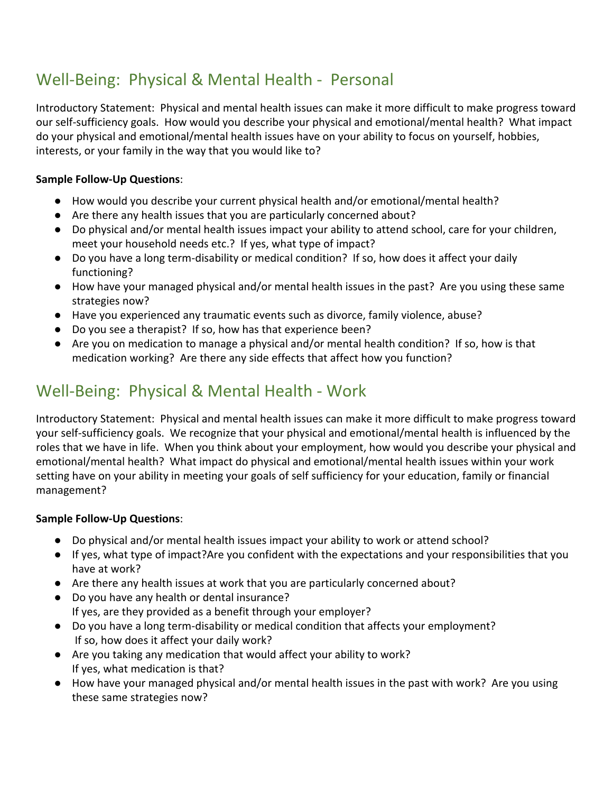## Well-Being: Physical & Mental Health - Personal

Introductory Statement: Physical and mental health issues can make it more difficult to make progress toward our self-sufficiency goals. How would you describe your physical and emotional/mental health? What impact do your physical and emotional/mental health issues have on your ability to focus on yourself, hobbies, interests, or your family in the way that you would like to?

### **Sample Follow-Up Questions**:

- How would you describe your current physical health and/or emotional/mental health?
- Are there any health issues that you are particularly concerned about?
- Do physical and/or mental health issues impact your ability to attend school, care for your children, meet your household needs etc.? If yes, what type of impact?
- Do you have a long term-disability or medical condition? If so, how does it affect your daily functioning?
- How have your managed physical and/or mental health issues in the past? Are you using these same strategies now?
- Have you experienced any traumatic events such as divorce, family violence, abuse?
- Do you see a therapist? If so, how has that experience been?
- Are you on medication to manage a physical and/or mental health condition? If so, how is that medication working? Are there any side effects that affect how you function?

### Well-Being: Physical & Mental Health - Work

Introductory Statement: Physical and mental health issues can make it more difficult to make progress toward your self-sufficiency goals. We recognize that your physical and emotional/mental health is influenced by the roles that we have in life. When you think about your employment, how would you describe your physical and emotional/mental health? What impact do physical and emotional/mental health issues within your work setting have on your ability in meeting your goals of self sufficiency for your education, family or financial management?

- Do physical and/or mental health issues impact your ability to work or attend school?
- If yes, what type of impact?Are you confident with the expectations and your responsibilities that you have at work?
- Are there any health issues at work that you are particularly concerned about?
- Do you have any health or dental insurance? If yes, are they provided as a benefit through your employer?
- Do you have a long term-disability or medical condition that affects your employment? If so, how does it affect your daily work?
- Are you taking any medication that would affect your ability to work? If yes, what medication is that?
- How have your managed physical and/or mental health issues in the past with work? Are you using these same strategies now?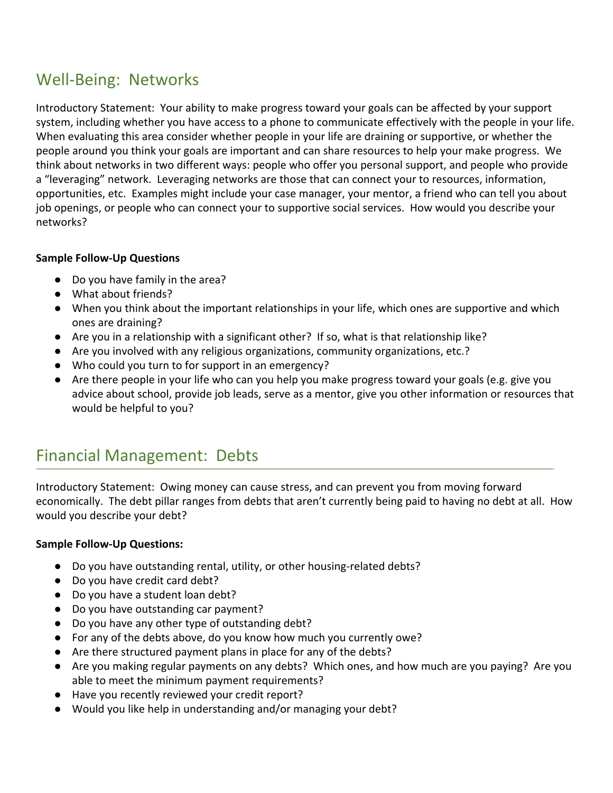### Well-Being: Networks

Introductory Statement: Your ability to make progress toward your goals can be affected by your support system, including whether you have access to a phone to communicate effectively with the people in your life. When evaluating this area consider whether people in your life are draining or supportive, or whether the people around you think your goals are important and can share resources to help your make progress. We think about networks in two different ways: people who offer you personal support, and people who provide a "leveraging" network. Leveraging networks are those that can connect your to resources, information, opportunities, etc. Examples might include your case manager, your mentor, a friend who can tell you about job openings, or people who can connect your to supportive social services. How would you describe your networks?

#### **Sample Follow-Up Questions**

- Do you have family in the area?
- What about friends?
- When you think about the important relationships in your life, which ones are supportive and which ones are draining?
- Are you in a relationship with a significant other? If so, what is that relationship like?
- Are you involved with any religious organizations, community organizations, etc.?
- Who could you turn to for support in an emergency?
- Are there people in your life who can you help you make progress toward your goals (e.g. give you advice about school, provide job leads, serve as a mentor, give you other information or resources that would be helpful to you?

### Financial Management: Debts

Introductory Statement: Owing money can cause stress, and can prevent you from moving forward economically. The debt pillar ranges from debts that aren't currently being paid to having no debt at all. How would you describe your debt?

- Do you have outstanding rental, utility, or other housing-related debts?
- Do you have credit card debt?
- Do you have a student loan debt?
- Do you have outstanding car payment?
- Do you have any other type of outstanding debt?
- For any of the debts above, do you know how much you currently owe?
- Are there structured payment plans in place for any of the debts?
- Are you making regular payments on any debts? Which ones, and how much are you paying? Are you able to meet the minimum payment requirements?
- Have you recently reviewed your credit report?
- Would you like help in understanding and/or managing your debt?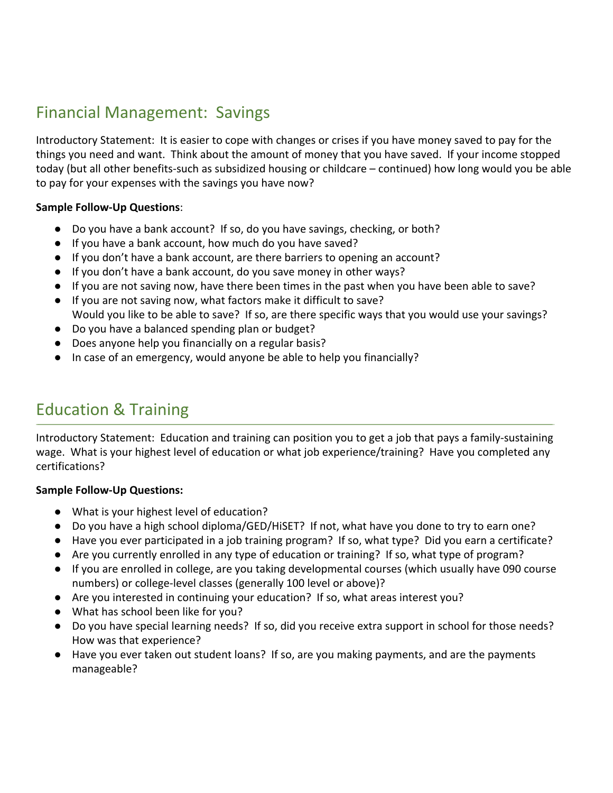### Financial Management: Savings

Introductory Statement: It is easier to cope with changes or crises if you have money saved to pay for the things you need and want. Think about the amount of money that you have saved. If your income stopped today (but all other benefits-such as subsidized housing or childcare – continued) how long would you be able to pay for your expenses with the savings you have now?

#### **Sample Follow-Up Questions**:

- Do you have a bank account? If so, do you have savings, checking, or both?
- If you have a bank account, how much do you have saved?
- If you don't have a bank account, are there barriers to opening an account?
- If you don't have a bank account, do you save money in other ways?
- If you are not saving now, have there been times in the past when you have been able to save?
- If you are not saving now, what factors make it difficult to save? Would you like to be able to save? If so, are there specific ways that you would use your savings?
- Do you have a balanced spending plan or budget?
- Does anyone help you financially on a regular basis?
- In case of an emergency, would anyone be able to help you financially?

### Education & Training

Introductory Statement: Education and training can position you to get a job that pays a family-sustaining wage. What is your highest level of education or what job experience/training? Have you completed any certifications?

- What is your highest level of education?
- Do you have a high school diploma/GED/HiSET? If not, what have you done to try to earn one?
- Have you ever participated in a job training program? If so, what type? Did you earn a certificate?
- Are you currently enrolled in any type of education or training? If so, what type of program?
- If you are enrolled in college, are you taking developmental courses (which usually have 090 course numbers) or college-level classes (generally 100 level or above)?
- Are you interested in continuing your education? If so, what areas interest you?
- What has school been like for you?
- Do you have special learning needs? If so, did you receive extra support in school for those needs? How was that experience?
- Have you ever taken out student loans? If so, are you making payments, and are the payments manageable?